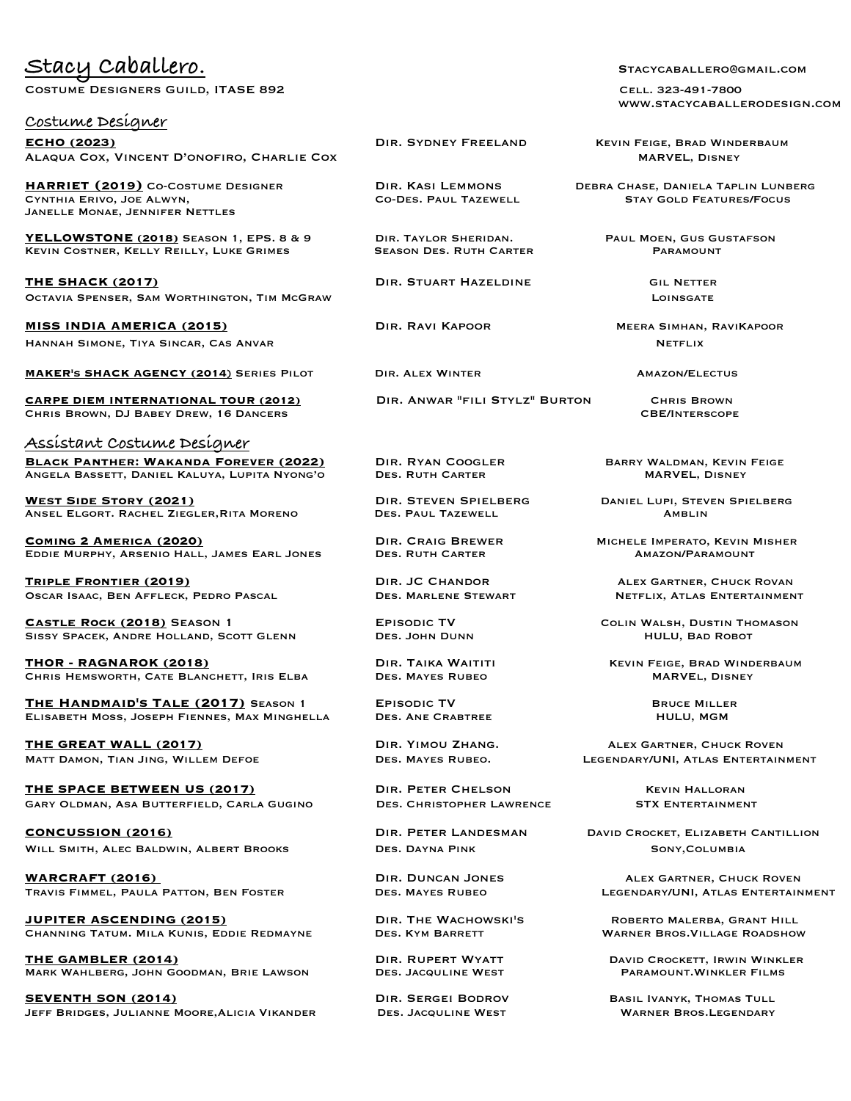## Stacy Caballero. Stacycaballero.

COSTUME DESIGNERS GUILD, ITASE 892 COSTUME DESIGNERS GUILD, ITASE 892

## **Costume Designer**

**ECHO (2023) DIR. SYDNEY FREELAND KEVIN FEIGE, BRAD WINDERBAUM** ALAQUA COX, VINCENT D'ONOFIRO, CHARLIE COX NARVEL, DISNEY MARVEL, DISNEY

**HARRIET (2019)** Co-Costume Designer Dir. Kasi Lemmons Debra Chase, Daniela Taplin Lunberg CYNTHIA ERIVO, JOE ALWYN, Janelle Monae, Jennifer Nettles

**YELLOWSTONE (2018)** Season 1, EPS. 8 & 9 Dir. Taylor Sheridan. Paul Moen, Gus Gustafson KEVIN COSTNER, KELLY REILLY, LUKE GRIMES

**THE SHACK (2017) DIR. STUART HAZELDINE** GIL NETTER Octavia Spenser, Sam Worthington, Tim McGraw Loinsgate

**MISS INDIA AMERICA (2015)** Dir. Ravi Kapoor Meera Simhan, RaviKapoor Hannah Simone, Tiya Sincar, Cas AnvarNetflix

**MAKER'S SHACK AGENCY (2014)** SERIES PILOT DIR. ALEX WINTER **AMAZON/ELECTUS** 

**CARPE DIEM INTERNATIONAL TOUR (2012)** Dir. Anwar "fili Stylz" Burton Chris Brown CHRIS BROWN, DJ BABEY DREW, 16 DANCERS

**Assistant Costume Designer BLACK PANTHER: WAKANDA FOREVER (2022)** DIR. RYAN COOGLER BARRY WALDMAN, KEVIN FEIGE ANGELA BASSETT, DANIEL KALUYA, LUPITA NYONG'O DES. RUTH CARTER **MARVEL, DISNEY** ANGELA BASSETT, DANIEL KALUYA, LUPITA NYONG'O

**West Side Story (2021)** Dir. Steven Spielberg Daniel Lupi, Steven Spielberg ANSEL ELGORT. RACHEL ZIEGLER, RITA MORENO

**COMING 2 AMERICA (2020)** DIR. CRAIG BREWER MICHELE IMPERATO, KEVIN MISHER<br>EDDIE MURPHY. ARSENIO HALL. JAMES EARL JONES DES. RUTH CARTER AMAZON/PARAMOUNT EDDIE MURPHY, ARSENIO HALL, JAMES EARL JONES.

**Triple Frontier (2019)** Dir. JC Chandor Alex Gartner, Chuck Rovan OSCAR ISAAC, BEN AFFLECK, PEDRO PASCAL

**CASTLE ROCK (2018)** SEASON 1 **EPISODIC TV** EPISODIC TV COLIN WALSH, DUSTIN THOMASON<br>SISSY SPACEK, ANDRE HOLLAND, SCOTT GLENN DES. JOHN DUNN HULU, BAD ROBOT SISSY SPACEK, ANDRE HOLLAND, SCOTT GLENN

**THOR - RAGNAROK (2018)** DIR. TAIKA WAITITI KEVIN FEIGE, BRAD WINDERBAUM<br>CHRIS HEMSWORTH. CATE BLANCHETT. IRIS ELBA DES. MAYES RUBEO **MARYEL. DISNEY** MARVEL. DISNEY CHRIS HEMSWORTH, CATE BLANCHETT, IRIS ELBA

**The Handmaid's Tale (2017)** Season 1 Episodic TV Bruce Miller ELISABETH MOSS, JOSEPH FIENNES, MAX MINGHELLA

**THE GREAT WALL (2017) DIR. YIMOU ZHANG.** ALEX GARTNER, CHUCK ROVEN

**THE SPACE BETWEEN US (2017)** DIR. PETER CHELSON KEVIN HALLORAN GARY OLDMAN, ASA BUTTERFIELD, CARLA GUGINO DES. CHRISTOPHER LAWRENCE STX ENTERTAINMENT

**CONCUSSION (2016) DIR. PETER LANDESMAN** DAVID CROCKET, ELIZABETH CANTILLION WILL SMITH, ALEC BALDWIN, ALBERT BROOKS DES. DAYNA PINK SONY, COLUMBIA

**WARCRAFT (2016)**<br>
TRAVIS FIMMEL, PAULA PATTON, BEN FOSTER

DES. MAYES RUBEO

DES. MAYES RUBEO

DES. MAYES RUBEO

DESENDARY/UNI, ATLAS ENTERTAINMENT TRAVIS FIMMEL, PAULA PATTON, BEN FOSTER

**JUPITER ASCENDING (2015)** Dir. The Wachowski's Roberto Malerba, Grant Hill CHANNING TATUM. MILA KUNIS, EDDIE REDMAYNE

**THE GAMBLER (2014)** Dir. Rupert Wyatt David Crockett, Irwin Winkler MARK WAHLBERG, JOHN GOODMAN, BRIE LAWSON

**SEVENTH SON (2014) DIR. SERGEI BODROV BASIL IVANYK, THOMAS TULL** Jeff Bridges, Julianne Moore,Alicia Vikander Des. Jacquline West Warner Bros.Legendary

www.stacycaballerodesign.com

Matt Damon, Tian Jing, Willem Defoe Des. Mayes Rubeo. Legendary/UNI, Atlas Entertainment